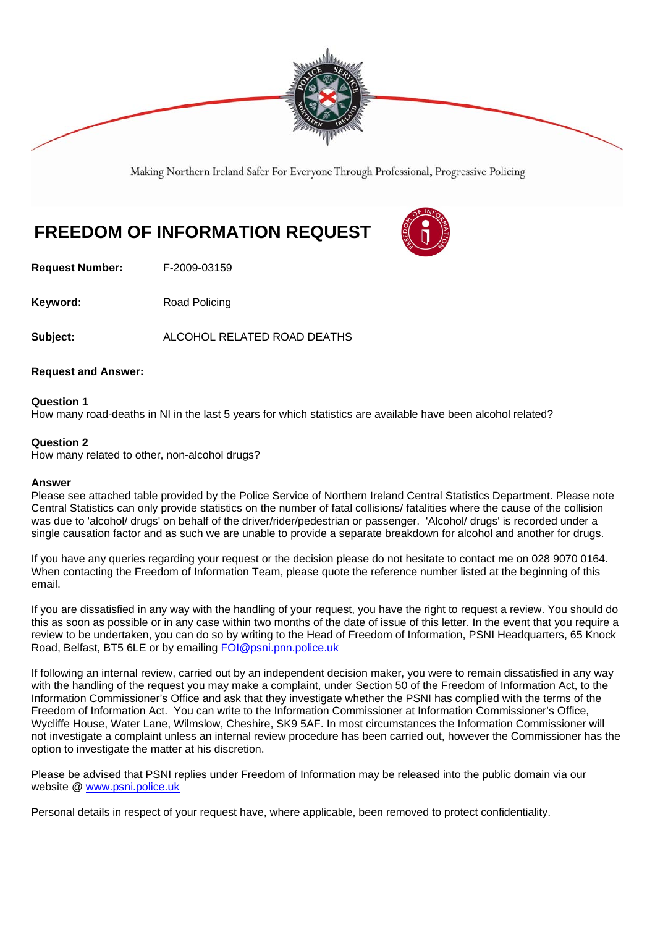

Making Northern Ireland Safer For Everyone Through Professional, Progressive Policing

# **FREEDOM OF INFORMATION REQUEST**

**Request Number:** F-2009-03159

**Keyword:** Road Policing

**Subject:** ALCOHOL RELATED ROAD DEATHS

#### **Request and Answer:**

### **Question 1**

How many road-deaths in NI in the last 5 years for which statistics are available have been alcohol related?

#### **Question 2**

How many related to other, non-alcohol drugs?

#### **Answer**

Please see attached table provided by the Police Service of Northern Ireland Central Statistics Department. Please note Central Statistics can only provide statistics on the number of fatal collisions/ fatalities where the cause of the collision was due to 'alcohol/ drugs' on behalf of the driver/rider/pedestrian or passenger. 'Alcohol/ drugs' is recorded under a single causation factor and as such we are unable to provide a separate breakdown for alcohol and another for drugs.

If you have any queries regarding your request or the decision please do not hesitate to contact me on 028 9070 0164. When contacting the Freedom of Information Team, please quote the reference number listed at the beginning of this email.

If you are dissatisfied in any way with the handling of your request, you have the right to request a review. You should do this as soon as possible or in any case within two months of the date of issue of this letter. In the event that you require a review to be undertaken, you can do so by writing to the Head of Freedom of Information, PSNI Headquarters, 65 Knock Road, Belfast, BT5 6LE or by emailing FOI@psni.pnn.police.uk

If following an internal review, carried out by an independent decision maker, you were to remain dissatisfied in any way with the handling of the request you may make a complaint, under Section 50 of the Freedom of Information Act, to the Information Commissioner's Office and ask that they investigate whether the PSNI has complied with the terms of the Freedom of Information Act. You can write to the Information Commissioner at Information Commissioner's Office, Wycliffe House, Water Lane, Wilmslow, Cheshire, SK9 5AF. In most circumstances the Information Commissioner will not investigate a complaint unless an internal review procedure has been carried out, however the Commissioner has the option to investigate the matter at his discretion.

Please be advised that PSNI replies under Freedom of Information may be released into the public domain via our website @ www.psni.police.uk

Personal details in respect of your request have, where applicable, been removed to protect confidentiality.